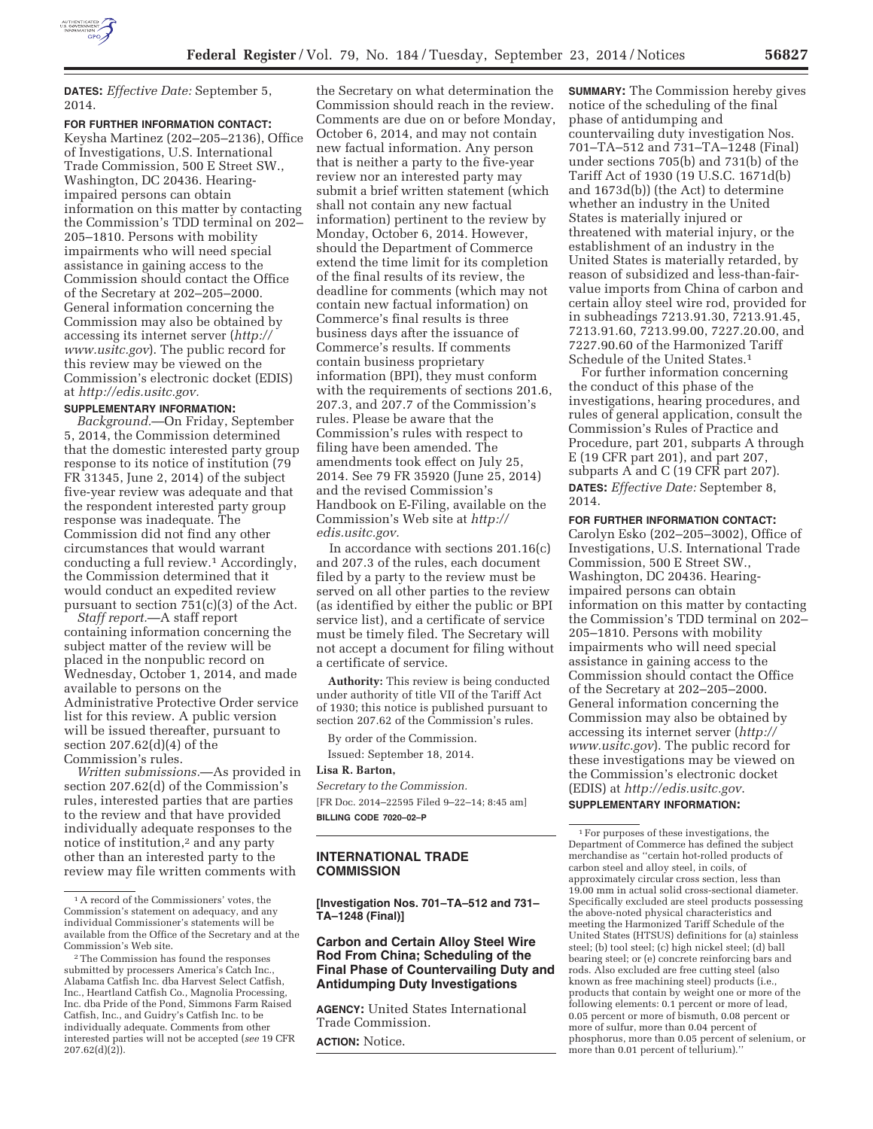

**DATES:** *Effective Date:* September 5, 2014.

# **FOR FURTHER INFORMATION CONTACT:**

Keysha Martinez (202–205–2136), Office of Investigations, U.S. International Trade Commission, 500 E Street SW., Washington, DC 20436. Hearingimpaired persons can obtain information on this matter by contacting the Commission's TDD terminal on 202– 205–1810. Persons with mobility impairments who will need special assistance in gaining access to the Commission should contact the Office of the Secretary at 202–205–2000. General information concerning the Commission may also be obtained by accessing its internet server (*http:// www.usitc.gov*). The public record for this review may be viewed on the Commission's electronic docket (EDIS) at *http://edis.usitc.gov.* 

## **SUPPLEMENTARY INFORMATION:**

*Background.*—On Friday, September 5, 2014, the Commission determined that the domestic interested party group response to its notice of institution (79 FR 31345, June 2, 2014) of the subject five-year review was adequate and that the respondent interested party group response was inadequate. The Commission did not find any other circumstances that would warrant conducting a full review.1 Accordingly, the Commission determined that it would conduct an expedited review pursuant to section 751(c)(3) of the Act.

*Staff report.*—A staff report containing information concerning the subject matter of the review will be placed in the nonpublic record on Wednesday, October 1, 2014, and made available to persons on the Administrative Protective Order service list for this review. A public version will be issued thereafter, pursuant to section 207.62(d)(4) of the Commission's rules.

*Written submissions.*—As provided in section 207.62(d) of the Commission's rules, interested parties that are parties to the review and that have provided individually adequate responses to the notice of institution,<sup>2</sup> and any party other than an interested party to the review may file written comments with

the Secretary on what determination the Commission should reach in the review. Comments are due on or before Monday, October 6, 2014, and may not contain new factual information. Any person that is neither a party to the five-year review nor an interested party may submit a brief written statement (which shall not contain any new factual information) pertinent to the review by Monday, October 6, 2014. However, should the Department of Commerce extend the time limit for its completion of the final results of its review, the deadline for comments (which may not contain new factual information) on Commerce's final results is three business days after the issuance of Commerce's results. If comments contain business proprietary information (BPI), they must conform with the requirements of sections 201.6, 207.3, and 207.7 of the Commission's rules. Please be aware that the Commission's rules with respect to filing have been amended. The amendments took effect on July 25, 2014. See 79 FR 35920 (June 25, 2014) and the revised Commission's Handbook on E-Filing, available on the Commission's Web site at *http:// edis.usitc.gov.* 

In accordance with sections 201.16(c) and 207.3 of the rules, each document filed by a party to the review must be served on all other parties to the review (as identified by either the public or BPI service list), and a certificate of service must be timely filed. The Secretary will not accept a document for filing without a certificate of service.

**Authority:** This review is being conducted under authority of title VII of the Tariff Act of 1930; this notice is published pursuant to section 207.62 of the Commission's rules.

By order of the Commission. Issued: September 18, 2014.

**Lisa R. Barton,** 

*Secretary to the Commission.*  [FR Doc. 2014–22595 Filed 9–22–14; 8:45 am] **BILLING CODE 7020–02–P** 

### **INTERNATIONAL TRADE COMMISSION**

**[Investigation Nos. 701–TA–512 and 731– TA–1248 (Final)]** 

## **Carbon and Certain Alloy Steel Wire Rod From China; Scheduling of the Final Phase of Countervailing Duty and Antidumping Duty Investigations**

**AGENCY:** United States International Trade Commission.

**ACTION:** Notice.

**SUMMARY:** The Commission hereby gives notice of the scheduling of the final phase of antidumping and countervailing duty investigation Nos. 701–TA–512 and 731–TA–1248 (Final) under sections 705(b) and 731(b) of the Tariff Act of 1930 (19 U.S.C. 1671d(b) and 1673d(b)) (the Act) to determine whether an industry in the United States is materially injured or threatened with material injury, or the establishment of an industry in the United States is materially retarded, by reason of subsidized and less-than-fairvalue imports from China of carbon and certain alloy steel wire rod, provided for in subheadings 7213.91.30, 7213.91.45, 7213.91.60, 7213.99.00, 7227.20.00, and 7227.90.60 of the Harmonized Tariff Schedule of the United States.1

For further information concerning the conduct of this phase of the investigations, hearing procedures, and rules of general application, consult the Commission's Rules of Practice and Procedure, part 201, subparts A through E (19 CFR part 201), and part 207, subparts A and C (19 CFR part 207). **DATES:** *Effective Date:* September 8, 2014.

### **FOR FURTHER INFORMATION CONTACT:**

Carolyn Esko (202–205–3002), Office of Investigations, U.S. International Trade Commission, 500 E Street SW., Washington, DC 20436. Hearingimpaired persons can obtain information on this matter by contacting the Commission's TDD terminal on 202– 205–1810. Persons with mobility impairments who will need special assistance in gaining access to the Commission should contact the Office of the Secretary at 202–205–2000. General information concerning the Commission may also be obtained by accessing its internet server (*http:// www.usitc.gov*). The public record for these investigations may be viewed on the Commission's electronic docket (EDIS) at *http://edis.usitc.gov*. **SUPPLEMENTARY INFORMATION:** 

1For purposes of these investigations, the Department of Commerce has defined the subject merchandise as ''certain hot-rolled products of carbon steel and alloy steel, in coils, of approximately circular cross section, less than 19.00 mm in actual solid cross-sectional diameter. Specifically excluded are steel products possessing the above-noted physical characteristics and meeting the Harmonized Tariff Schedule of the United States (HTSUS) definitions for (a) stainless steel; (b) tool steel; (c) high nickel steel; (d) ball bearing steel; or (e) concrete reinforcing bars and rods. Also excluded are free cutting steel (also known as free machining steel) products (i.e., products that contain by weight one or more of the following elements: 0.1 percent or more of lead, 0.05 percent or more of bismuth, 0.08 percent or more of sulfur, more than 0.04 percent of phosphorus, more than 0.05 percent of selenium, or more than 0.01 percent of tellurium).''

<sup>1</sup>A record of the Commissioners' votes, the Commission's statement on adequacy, and any individual Commissioner's statements will be available from the Office of the Secretary and at the Commission's Web site.

<sup>2</sup>The Commission has found the responses submitted by processers America's Catch Inc. Alabama Catfish Inc. dba Harvest Select Catfish, Inc., Heartland Catfish Co., Magnolia Processing, Inc. dba Pride of the Pond, Simmons Farm Raised Catfish, Inc., and Guidry's Catfish Inc. to be individually adequate. Comments from other interested parties will not be accepted (*see* 19 CFR  $207.62(d)(\hat{2})$ ).